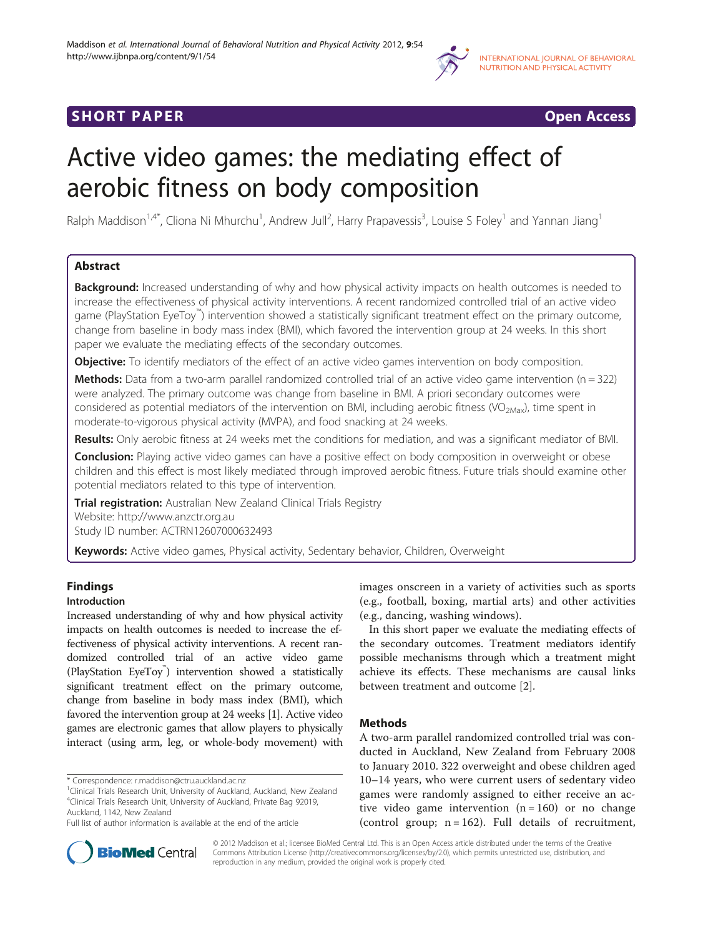

# **SHORT PAPER SHORT PAPER SHORT PAPER SHORT ACCESS**



# Active video games: the mediating effect of aerobic fitness on body composition

Ralph Maddison<sup>1,4\*</sup>, Cliona Ni Mhurchu<sup>1</sup>, Andrew Jull<sup>2</sup>, Harry Prapavessis<sup>3</sup>, Louise S Foley<sup>1</sup> and Yannan Jiang<sup>1</sup>

## Abstract

Background: Increased understanding of why and how physical activity impacts on health outcomes is needed to increase the effectiveness of physical activity interventions. A recent randomized controlled trial of an active video game (PlayStation EyeToy™ ) intervention showed a statistically significant treatment effect on the primary outcome, change from baseline in body mass index (BMI), which favored the intervention group at 24 weeks. In this short paper we evaluate the mediating effects of the secondary outcomes.

**Objective:** To identify mediators of the effect of an active video games intervention on body composition.

**Methods:** Data from a two-arm parallel randomized controlled trial of an active video game intervention ( $n = 322$ ) were analyzed. The primary outcome was change from baseline in BMI. A priori secondary outcomes were considered as potential mediators of the intervention on BMI, including aerobic fitness (VO<sub>2Max</sub>), time spent in moderate-to-vigorous physical activity (MVPA), and food snacking at 24 weeks.

Results: Only aerobic fitness at 24 weeks met the conditions for mediation, and was a significant mediator of BMI.

**Conclusion:** Playing active video games can have a positive effect on body composition in overweight or obese children and this effect is most likely mediated through improved aerobic fitness. Future trials should examine other potential mediators related to this type of intervention.

**Trial registration:** Australian New Zealand Clinical Trials Registry Website: http://www.anzctr.org.au

Study ID number: ACTRN12607000632493

Keywords: Active video games, Physical activity, Sedentary behavior, Children, Overweight

## **Findings**

## Introduction

Increased understanding of why and how physical activity impacts on health outcomes is needed to increase the effectiveness of physical activity interventions. A recent randomized controlled trial of an active video game (PlayStation EyeToy<sup>™</sup>) intervention showed a statistically significant treatment effect on the primary outcome, change from baseline in body mass index (BMI), which favored the intervention group at 24 weeks [1]. Active video games are electronic games that allow players to physically interact (using arm, leg, or whole-body movement) with

\* Correspondence: r.maddison@ctru.auckland.ac.nz <sup>1</sup>



In this short paper we evaluate the mediating effects of the secondary outcomes. Treatment mediators identify possible mechanisms through which a treatment might achieve its effects. These mechanisms are causal links between treatment and outcome [2].

## Methods

A two-arm parallel randomized controlled trial was conducted in Auckland, New Zealand from February 2008 to January 2010. 322 overweight and obese children aged 10–14 years, who were current users of sedentary video games were randomly assigned to either receive an active video game intervention  $(n = 160)$  or no change (control group;  $n = 162$ ). Full details of recruitment,



© 2012 Maddison et al.; licensee BioMed Central Ltd. This is an Open Access article distributed under the terms of the Creative Commons Attribution License (http://creativecommons.org/licenses/by/2.0), which permits unrestricted use, distribution, and reproduction in any medium, provided the original work is properly cited.

<sup>&</sup>lt;sup>1</sup>Clinical Trials Research Unit, University of Auckland, Auckland, New Zealand 4 Clinical Trials Research Unit, University of Auckland, Private Bag 92019, Auckland, 1142, New Zealand

Full list of author information is available at the end of the article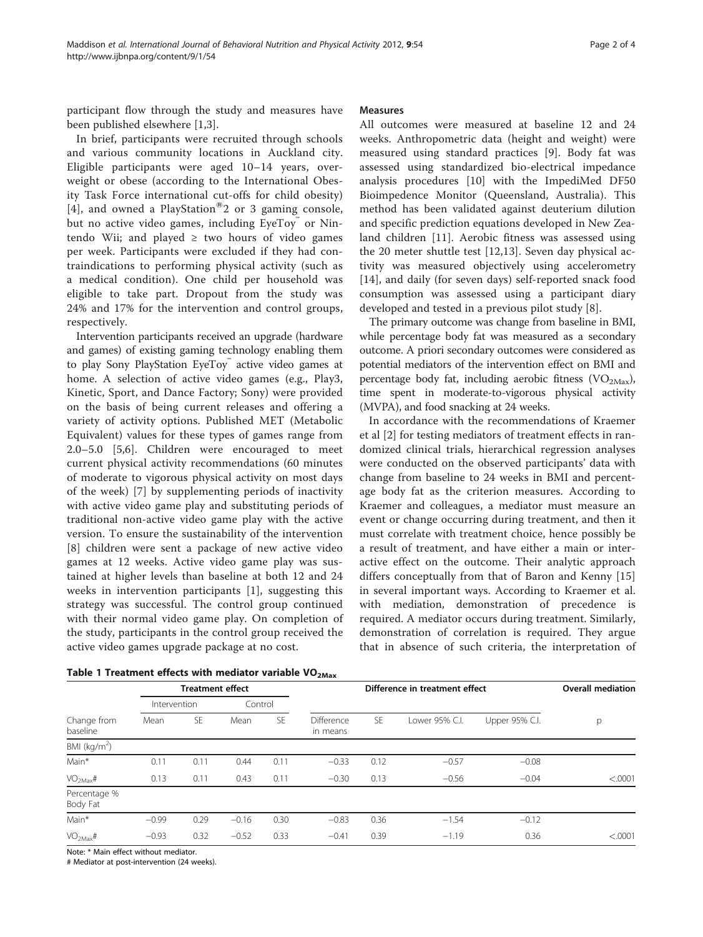participant flow through the study and measures have been published elsewhere [1,3].

In brief, participants were recruited through schools and various community locations in Auckland city. Eligible participants were aged 10–14 years, overweight or obese (according to the International Obesity Task Force international cut-offs for child obesity) [4], and owned a PlayStation<sup>®</sup>2 or 3 gaming console, but no active video games, including EyeToy® or Nintendo Wii; and played  $\geq$  two hours of video games per week. Participants were excluded if they had contraindications to performing physical activity (such as a medical condition). One child per household was eligible to take part. Dropout from the study was 24% and 17% for the intervention and control groups, respectively.

Intervention participants received an upgrade (hardware and games) of existing gaming technology enabling them to play Sony PlayStation EyeToy active video games at home. A selection of active video games (e.g., Play3, Kinetic, Sport, and Dance Factory; Sony) were provided on the basis of being current releases and offering a variety of activity options. Published MET (Metabolic Equivalent) values for these types of games range from 2.0–5.0 [5,6]. Children were encouraged to meet current physical activity recommendations (60 minutes of moderate to vigorous physical activity on most days of the week) [7] by supplementing periods of inactivity with active video game play and substituting periods of traditional non-active video game play with the active version. To ensure the sustainability of the intervention [8] children were sent a package of new active video games at 12 weeks. Active video game play was sustained at higher levels than baseline at both 12 and 24 weeks in intervention participants [1], suggesting this strategy was successful. The control group continued with their normal video game play. On completion of the study, participants in the control group received the active video games upgrade package at no cost.

|  |  | Table 1 Treatment effects with mediator variable $VO2Max$ |  |  |  |  |  |
|--|--|-----------------------------------------------------------|--|--|--|--|--|
|--|--|-----------------------------------------------------------|--|--|--|--|--|

#### Measures

All outcomes were measured at baseline 12 and 24 weeks. Anthropometric data (height and weight) were measured using standard practices [9]. Body fat was assessed using standardized bio-electrical impedance analysis procedures [10] with the ImpediMed DF50 Bioimpedence Monitor (Queensland, Australia). This method has been validated against deuterium dilution and specific prediction equations developed in New Zealand children [11]. Aerobic fitness was assessed using the 20 meter shuttle test [12,13]. Seven day physical activity was measured objectively using accelerometry [14], and daily (for seven days) self-reported snack food consumption was assessed using a participant diary developed and tested in a previous pilot study [8].

The primary outcome was change from baseline in BMI, while percentage body fat was measured as a secondary outcome. A priori secondary outcomes were considered as potential mediators of the intervention effect on BMI and percentage body fat, including aerobic fitness ( $VO<sub>2Max</sub>$ ), time spent in moderate-to-vigorous physical activity (MVPA), and food snacking at 24 weeks.

In accordance with the recommendations of Kraemer et al [2] for testing mediators of treatment effects in randomized clinical trials, hierarchical regression analyses were conducted on the observed participants' data with change from baseline to 24 weeks in BMI and percentage body fat as the criterion measures. According to Kraemer and colleagues, a mediator must measure an event or change occurring during treatment, and then it must correlate with treatment choice, hence possibly be a result of treatment, and have either a main or interactive effect on the outcome. Their analytic approach differs conceptually from that of Baron and Kenny [15] in several important ways. According to Kraemer et al. with mediation, demonstration of precedence is required. A mediator occurs during treatment. Similarly, demonstration of correlation is required. They argue that in absence of such criteria, the interpretation of

| Change from<br>baseline  | <b>Treatment effect</b> |           |         |           | -------<br>Difference in treatment effect |           |                |                | <b>Overall mediation</b> |
|--------------------------|-------------------------|-----------|---------|-----------|-------------------------------------------|-----------|----------------|----------------|--------------------------|
|                          | Intervention            |           | Control |           |                                           |           |                |                |                          |
|                          | Mean                    | <b>SE</b> | Mean    | <b>SE</b> | Difference<br>in means                    | <b>SE</b> | Lower 95% C.I. | Upper 95% C.I. | p                        |
| BMI ( $kg/m2$ )          |                         |           |         |           |                                           |           |                |                |                          |
| Main*                    | 0.11                    | 0.11      | 0.44    | 0.11      | $-0.33$                                   | 0.12      | $-0.57$        | $-0.08$        |                          |
| VO <sub>2Max</sub> #     | 0.13                    | 0.11      | 0.43    | 0.11      | $-0.30$                                   | 0.13      | $-0.56$        | $-0.04$        | < .0001                  |
| Percentage %<br>Body Fat |                         |           |         |           |                                           |           |                |                |                          |
| Main*                    | $-0.99$                 | 0.29      | $-0.16$ | 0.30      | $-0.83$                                   | 0.36      | $-1.54$        | $-0.12$        |                          |
| VO <sub>2Max</sub> #     | $-0.93$                 | 0.32      | $-0.52$ | 0.33      | $-0.41$                                   | 0.39      | $-1.19$        | 0.36           | < .0001                  |

Note: \* Main effect without mediator.

# Mediator at post-intervention (24 weeks).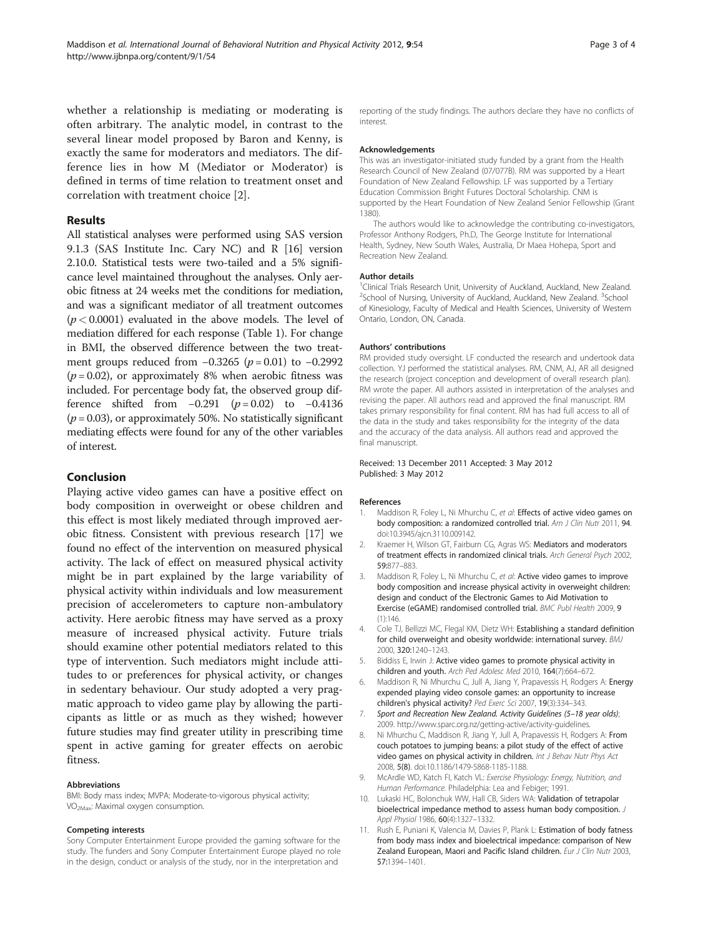whether a relationship is mediating or moderating is often arbitrary. The analytic model, in contrast to the several linear model proposed by Baron and Kenny, is exactly the same for moderators and mediators. The difference lies in how M (Mediator or Moderator) is defined in terms of time relation to treatment onset and correlation with treatment choice [2].

#### Results

All statistical analyses were performed using SAS version 9.1.3 (SAS Institute Inc. Cary NC) and R [16] version 2.10.0. Statistical tests were two-tailed and a 5% significance level maintained throughout the analyses. Only aerobic fitness at 24 weeks met the conditions for mediation, and was a significant mediator of all treatment outcomes  $(p < 0.0001)$  evaluated in the above models. The level of mediation differed for each response (Table 1). For change in BMI, the observed difference between the two treatment groups reduced from  $-0.3265$  ( $p = 0.01$ ) to  $-0.2992$  $(p = 0.02)$ , or approximately 8% when aerobic fitness was included. For percentage body fat, the observed group difference shifted from  $-0.291$  ( $p = 0.02$ ) to  $-0.4136$  $(p = 0.03)$ , or approximately 50%. No statistically significant mediating effects were found for any of the other variables of interest.

#### Conclusion

Playing active video games can have a positive effect on body composition in overweight or obese children and this effect is most likely mediated through improved aerobic fitness. Consistent with previous research [17] we found no effect of the intervention on measured physical activity. The lack of effect on measured physical activity might be in part explained by the large variability of physical activity within individuals and low measurement precision of accelerometers to capture non-ambulatory activity. Here aerobic fitness may have served as a proxy measure of increased physical activity. Future trials should examine other potential mediators related to this type of intervention. Such mediators might include attitudes to or preferences for physical activity, or changes in sedentary behaviour. Our study adopted a very pragmatic approach to video game play by allowing the participants as little or as much as they wished; however future studies may find greater utility in prescribing time spent in active gaming for greater effects on aerobic fitness.

#### Abbreviations

BMI: Body mass index; MVPA: Moderate-to-vigorous physical activity; VO2Max: Maximal oxygen consumption.

#### Competing interests

Sony Computer Entertainment Europe provided the gaming software for the study. The funders and Sony Computer Entertainment Europe played no role in the design, conduct or analysis of the study, nor in the interpretation and

reporting of the study findings. The authors declare they have no conflicts of interest.

#### Acknowledgements

This was an investigator-initiated study funded by a grant from the Health Research Council of New Zealand (07/077B). RM was supported by a Heart Foundation of New Zealand Fellowship. LF was supported by a Tertiary Education Commission Bright Futures Doctoral Scholarship. CNM is supported by the Heart Foundation of New Zealand Senior Fellowship (Grant 1380).

The authors would like to acknowledge the contributing co-investigators, Professor Anthony Rodgers, Ph.D, The George Institute for International Health, Sydney, New South Wales, Australia, Dr Maea Hohepa, Sport and Recreation New Zealand.

#### Author details

<sup>1</sup> Clinical Trials Research Unit, University of Auckland, Auckland, New Zealand. <sup>2</sup>School of Nursing, University of Auckland, Auckland, New Zealand. <sup>3</sup>School of Kinesiology, Faculty of Medical and Health Sciences, University of Western Ontario, London, ON, Canada.

#### Authors' contributions

RM provided study oversight. LF conducted the research and undertook data collection. YJ performed the statistical analyses. RM, CNM, AJ, AR all designed the research (project conception and development of overall research plan). RM wrote the paper. All authors assisted in interpretation of the analyses and revising the paper. All authors read and approved the final manuscript. RM takes primary responsibility for final content. RM has had full access to all of the data in the study and takes responsibility for the integrity of the data and the accuracy of the data analysis. All authors read and approved the final manuscript.

#### Received: 13 December 2011 Accepted: 3 May 2012 Published: 3 May 2012

#### References

- 1. Maddison R, Foley L, Ni Mhurchu C, et al: Effects of active video games on body composition: a randomized controlled trial. Am J Clin Nutr 2011, 94. doi:10.3945/ajcn.3110.009142.
- 2. Kraemer H, Wilson GT, Fairburn CG, Agras WS: Mediators and moderators of treatment effects in randomized clinical trials. Arch General Psych 2002, 59:877–883.
- 3. Maddison R, Foley L, Ni Mhurchu C, et al: Active video games to improve body composition and increase physical activity in overweight children: design and conduct of the Electronic Games to Aid Motivation to Exercise (eGAME) randomised controlled trial. BMC Publ Health 2009, 9 (1):146.
- 4. Cole TJ, Bellizzi MC, Flegal KM, Dietz WH: Establishing a standard definition for child overweight and obesity worldwide: international survey. BMJ 2000, 320:1240–1243.
- 5. Biddiss E, Irwin J: Active video games to promote physical activity in children and youth. Arch Ped Adolesc Med 2010, 164(7):664–672.
- 6. Maddison R, Ni Mhurchu C, Jull A, Jiang Y, Prapavessis H, Rodgers A: Energy expended playing video console games: an opportunity to increase children's physical activity? Ped Exerc Sci 2007, 19(3):334–343.
- 7. Sport and Recreation New Zealand. Activity Guidelines (5-18 year olds); 2009. http://www.sparc.org.nz/getting-active/activity-guidelines.
- 8. Ni Mhurchu C, Maddison R, Jiang Y, Jull A, Prapavessis H, Rodgers A: From couch potatoes to jumping beans: a pilot study of the effect of active video games on physical activity in children. Int J Behav Nutr Phys Act 2008, 5(8). doi:10.1186/1479-5868-1185-1188.
- 9. McArdle WD, Katch FI, Katch VL: Exercise Physiology: Energy, Nutrition, and Human Performance. Philadelphia: Lea and Febiger; 1991.
- 10. Lukaski HC, Bolonchuk WW, Hall CB, Siders WA: Validation of tetrapolar bioelectrical impedance method to assess human body composition. J Appl Physiol 1986, 60(4):1327-1332.
- 11. Rush E, Puniani K, Valencia M, Davies P, Plank L: Estimation of body fatness from body mass index and bioelectrical impedance: comparison of New Zealand European, Maori and Pacific Island children. Eur J Clin Nutr 2003, 57:1394–1401.